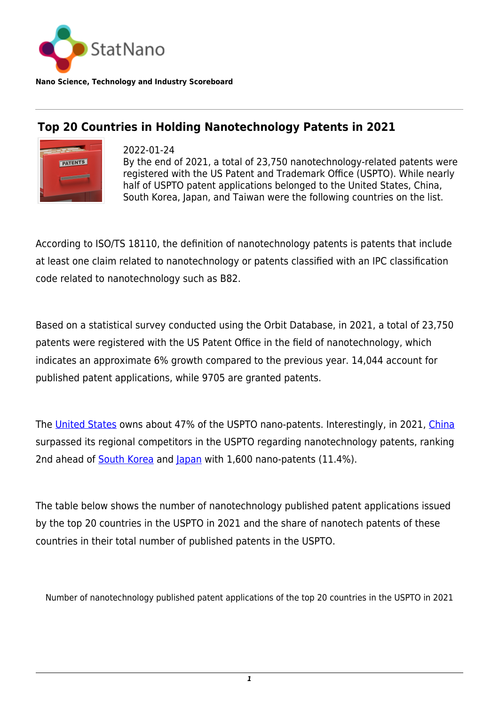

**Nano Science, Technology and Industry Scoreboard**

## **Top 20 Countries in Holding Nanotechnology Patents in 2021**



2022-01-24

By the end of 2021, a total of 23,750 nanotechnology-related patents were registered with the US Patent and Trademark Office (USPTO). While nearly half of USPTO patent applications belonged to the United States, China, South Korea, Japan, and Taiwan were the following countries on the list.

According to ISO/TS 18110, the definition of nanotechnology patents is patents that include at least one claim related to nanotechnology or patents classified with an IPC classification code related to nanotechnology such as B82.

Based on a statistical survey conducted using the Orbit Database, in 2021, a total of 23,750 patents were registered with the US Patent Office in the field of nanotechnology, which indicates an approximate 6% growth compared to the previous year. 14,044 account for published patent applications, while 9705 are granted patents.

The [United States](http://statnano.com/country/USA) owns about 47% of the USPTO nano-patents. Interestingly, in 2021, [China](http://statnano.com/country/China) surpassed its regional competitors in the USPTO regarding nanotechnology patents, ranking 2nd ahead of [South Korea](http://statnano.com/country/South_Korea) and [Japan](http://statnano.com/country/Japan) with 1,600 nano-patents (11.4%).

The table below shows the number of nanotechnology published patent applications issued by the top 20 countries in the USPTO in 2021 and the share of nanotech patents of these countries in their total number of published patents in the USPTO.

Number of nanotechnology published patent applications of the top 20 countries in the USPTO in 2021